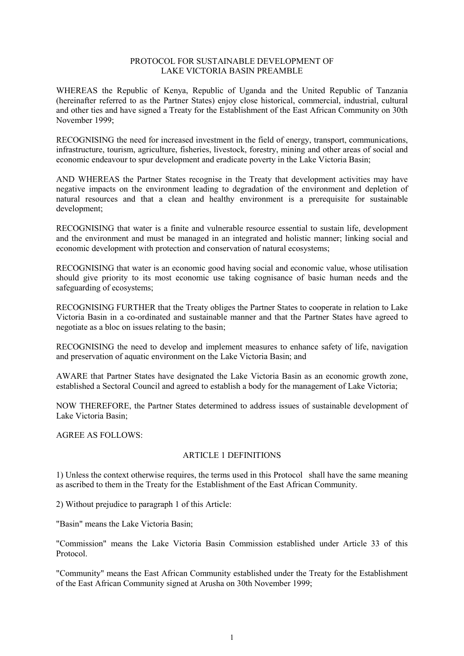#### PROTOCOL FOR SUSTAINABLE DEVELOPMENT OF LAKE VICTORIA BASIN PREAMBLE

WHEREAS the Republic of Kenya, Republic of Uganda and the United Republic of Tanzania (hereinafter referred to as the Partner States) enjoy close historical, commercial, industrial, cultural and other ties and have signed a Treaty for the Establishment of the East African Community on 30th November 1999;

RECOGNISING the need for increased investment in the field of energy, transport, communications, infrastructure, tourism, agriculture, fisheries, livestock, forestry, mining and other areas of social and economic endeavour to spur development and eradicate poverty in the Lake Victoria Basin;

AND WHEREAS the Partner States recognise in the Treaty that development activities may have negative impacts on the environment leading to degradation of the environment and depletion of natural resources and that a clean and healthy environment is a prerequisite for sustainable development;

RECOGNISING that water is a finite and vulnerable resource essential to sustain life, development and the environment and must be managed in an integrated and holistic manner; linking social and economic development with protection and conservation of natural ecosystems;

RECOGNISING that water is an economic good having social and economic value, whose utilisation should give priority to its most economic use taking cognisance of basic human needs and the safeguarding of ecosystems;

RECOGNISING FURTHER that the Treaty obliges the Partner States to cooperate in relation to Lake Victoria Basin in a co-ordinated and sustainable manner and that the Partner States have agreed to negotiate as a bloc on issues relating to the basin;

RECOGNISING the need to develop and implement measures to enhance safety of life, navigation and preservation of aquatic environment on the Lake Victoria Basin; and

AWARE that Partner States have designated the Lake Victoria Basin as an economic growth zone, established a Sectoral Council and agreed to establish a body for the management of Lake Victoria;

NOW THEREFORE, the Partner States determined to address issues of sustainable development of Lake Victoria Basin;

AGREE AS FOLLOWS:

### ARTICLE 1 DEFINITIONS

1) Unless the context otherwise requires, the terms used in this Protocol shall have the same meaning as ascribed to them in the Treaty for the Establishment of the East African Community.

2) Without prejudice to paragraph 1 of this Article:

"Basin" means the Lake Victoria Basin;

"Commission" means the Lake Victoria Basin Commission established under Article 33 of this Protocol.

"Community" means the East African Community established under the Treaty for the Establishment of the East African Community signed at Arusha on 30th November 1999;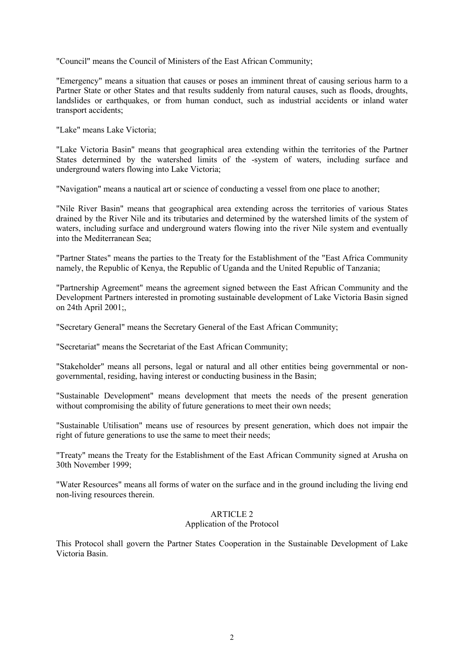"Council" means the Council of Ministers of the East African Community;

"Emergency" means a situation that causes or poses an imminent threat of causing serious harm to a Partner State or other States and that results suddenly from natural causes, such as floods, droughts, landslides or earthquakes, or from human conduct, such as industrial accidents or inland water transport accidents;

"Lake" means Lake Victoria;

"Lake Victoria Basin" means that geographical area extending within the territories of the Partner States determined by the watershed limits of the -system of waters, including surface and underground waters flowing into Lake Victoria;

"Navigation" means a nautical art or science of conducting a vessel from one place to another;

"Nile River Basin" means that geographical area extending across the territories of various States drained by the River Nile and its tributaries and determined by the watershed limits of the system of waters, including surface and underground waters flowing into the river Nile system and eventually into the Mediterranean Sea;

"Partner States" means the parties to the Treaty for the Establishment of the "East Africa Community namely, the Republic of Kenya, the Republic of Uganda and the United Republic of Tanzania;

"Partnership Agreement" means the agreement signed between the East African Community and the Development Partners interested in promoting sustainable development of Lake Victoria Basin signed on 24th April 2001;,

"Secretary General" means the Secretary General of the East African Community;

"Secretariat" means the Secretariat of the East African Community;

"Stakeholder" means all persons, legal or natural and all other entities being governmental or nongovernmental, residing, having interest or conducting business in the Basin;

"Sustainable Development" means development that meets the needs of the present generation without compromising the ability of future generations to meet their own needs;

"Sustainable Utilisation" means use of resources by present generation, which does not impair the right of future generations to use the same to meet their needs;

"Treaty" means the Treaty for the Establishment of the East African Community signed at Arusha on 30th November 1999;

"Water Resources" means all forms of water on the surface and in the ground including the living end non-living resources therein.

### ARTICLE 2

### Application of the Protocol

This Protocol shall govern the Partner States Cooperation in the Sustainable Development of Lake Victoria Basin.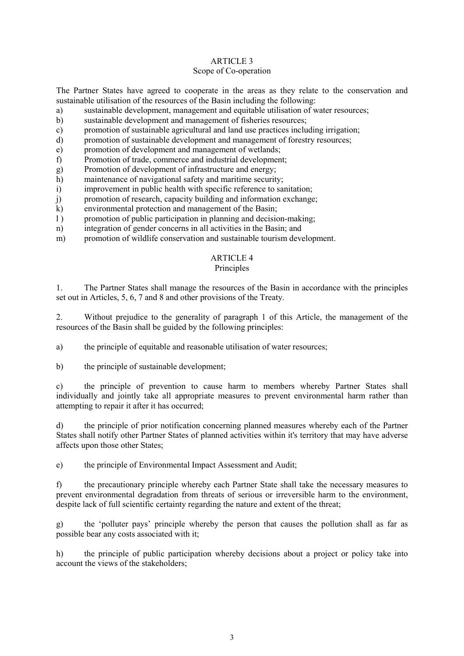### Scope of Co-operation

The Partner States have agreed to cooperate in the areas as they relate to the conservation and sustainable utilisation of the resources of the Basin including the following:

- a) sustainable development, management and equitable utilisation of water resources;
- b) sustainable development and management of fisheries resources;
- c) promotion of sustainable agricultural and land use practices including irrigation;
- d) promotion of sustainable development and management of forestry resources;<br>e) promotion of development and management of wetlands;
- e) promotion of development and management of wetlands;<br>f) Promotion of trade, commerce and industrial development
- Promotion of trade, commerce and industrial development;
- g) Promotion of development of infrastructure and energy;
- h) maintenance of navigational safety and maritime security;
- i) improvement in public health with specific reference to sanitation;
- j) promotion of research, capacity building and information exchange;<br>
k) environmental protection and management of the Basin;
- environmental protection and management of the Basin;
- l ) promotion of public participation in planning and decision-making;
- n) integration of gender concerns in all activities in the Basin; and
- m) promotion of wildlife conservation and sustainable tourism development.

### ARTICLE 4

### Principles

1. The Partner States shall manage the resources of the Basin in accordance with the principles set out in Articles, 5, 6, 7 and 8 and other provisions of the Treaty.

2. Without prejudice to the generality of paragraph 1 of this Article, the management of the resources of the Basin shall be guided by the following principles:

a) the principle of equitable and reasonable utilisation of water resources;

b) the principle of sustainable development;

c) the principle of prevention to cause harm to members whereby Partner States shall individually and jointly take all appropriate measures to prevent environmental harm rather than attempting to repair it after it has occurred;

d) the principle of prior notification concerning planned measures whereby each of the Partner States shall notify other Partner States of planned activities within it's territory that may have adverse affects upon those other States;

e) the principle of Environmental Impact Assessment and Audit;

f) the precautionary principle whereby each Partner State shall take the necessary measures to prevent environmental degradation from threats of serious or irreversible harm to the environment, despite lack of full scientific certainty regarding the nature and extent of the threat;

g) the 'polluter pays' principle whereby the person that causes the pollution shall as far as possible bear any costs associated with it;

h) the principle of public participation whereby decisions about a project or policy take into account the views of the stakeholders;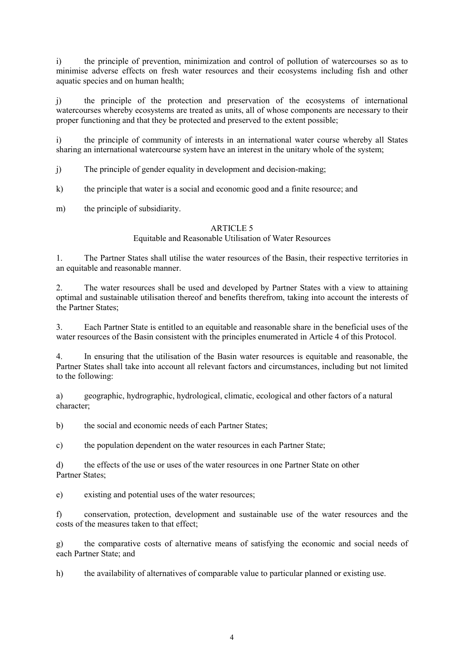i) the principle of prevention, minimization and control of pollution of watercourses so as to minimise adverse effects on fresh water resources and their ecosystems including fish and other aquatic species and on human health;

j) the principle of the protection and preservation of the ecosystems of international watercourses whereby ecosystems are treated as units, all of whose components are necessary to their proper functioning and that they be protected and preserved to the extent possible;

i) the principle of community of interests in an international water course whereby all States sharing an international watercourse system have an interest in the unitary whole of the system;

j) The principle of gender equality in development and decision-making;

k) the principle that water is a social and economic good and a finite resource; and

m) the principle of subsidiarity.

### ARTICLE 5

### Equitable and Reasonable Utilisation of Water Resources

1. The Partner States shall utilise the water resources of the Basin, their respective territories in an equitable and reasonable manner.

2. The water resources shall be used and developed by Partner States with a view to attaining optimal and sustainable utilisation thereof and benefits therefrom, taking into account the interests of the Partner States;

3. Each Partner State is entitled to an equitable and reasonable share in the beneficial uses of the water resources of the Basin consistent with the principles enumerated in Article 4 of this Protocol.

4. In ensuring that the utilisation of the Basin water resources is equitable and reasonable, the Partner States shall take into account all relevant factors and circumstances, including but not limited to the following:

a) geographic, hydrographic, hydrological, climatic, ecological and other factors of a natural character;

b) the social and economic needs of each Partner States;

c) the population dependent on the water resources in each Partner State;

d) the effects of the use or uses of the water resources in one Partner State on other Partner States;

e) existing and potential uses of the water resources;

f) conservation, protection, development and sustainable use of the water resources and the costs of the measures taken to that effect;

g) the comparative costs of alternative means of satisfying the economic and social needs of each Partner State; and

h) the availability of alternatives of comparable value to particular planned or existing use.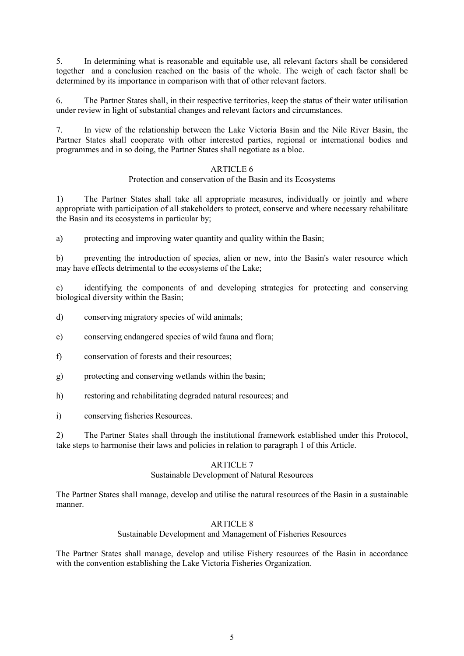5. In determining what is reasonable and equitable use, all relevant factors shall be considered together and a conclusion reached on the basis of the whole. The weigh of each factor shall be determined by its importance in comparison with that of other relevant factors.

6. The Partner States shall, in their respective territories, keep the status of their water utilisation under review in light of substantial changes and relevant factors and circumstances.

7. In view of the relationship between the Lake Victoria Basin and the Nile River Basin, the Partner States shall cooperate with other interested parties, regional or international bodies and programmes and in so doing, the Partner States shall negotiate as a bloc.

### ARTICLE 6

### Protection and conservation of the Basin and its Ecosystems

1) The Partner States shall take all appropriate measures, individually or jointly and where appropriate with participation of all stakeholders to protect, conserve and where necessary rehabilitate the Basin and its ecosystems in particular by;

a) protecting and improving water quantity and quality within the Basin;

b) preventing the introduction of species, alien or new, into the Basin's water resource which may have effects detrimental to the ecosystems of the Lake;

c) identifying the components of and developing strategies for protecting and conserving biological diversity within the Basin;

- d) conserving migratory species of wild animals;
- e) conserving endangered species of wild fauna and flora;
- f) conservation of forests and their resources;
- g) protecting and conserving wetlands within the basin;
- h) restoring and rehabilitating degraded natural resources; and
- i) conserving fisheries Resources.

2) The Partner States shall through the institutional framework established under this Protocol, take steps to harmonise their laws and policies in relation to paragraph 1 of this Article.

### ARTICLE 7

### Sustainable Development of Natural Resources

The Partner States shall manage, develop and utilise the natural resources of the Basin in a sustainable manner.

### ARTICLE 8

### Sustainable Development and Management of Fisheries Resources

The Partner States shall manage, develop and utilise Fishery resources of the Basin in accordance with the convention establishing the Lake Victoria Fisheries Organization.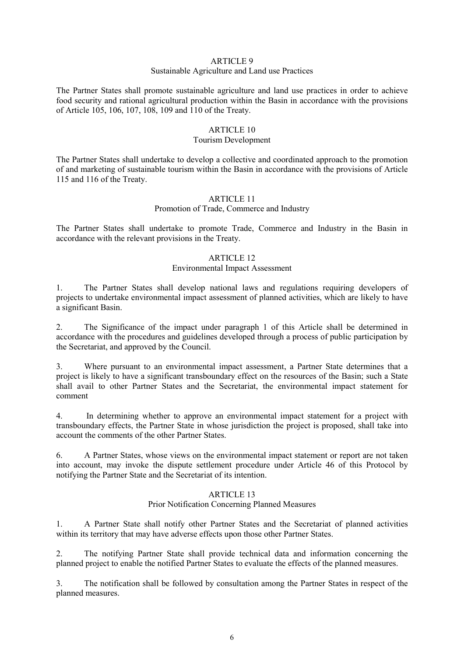#### Sustainable Agriculture and Land use Practices

The Partner States shall promote sustainable agriculture and land use practices in order to achieve food security and rational agricultural production within the Basin in accordance with the provisions of Article 105, 106, 107, 108, 109 and 110 of the Treaty.

#### ARTICLE 10

#### Tourism Development

The Partner States shall undertake to develop a collective and coordinated approach to the promotion of and marketing of sustainable tourism within the Basin in accordance with the provisions of Article 115 and 116 of the Treaty.

### ARTICLE 11

#### Promotion of Trade, Commerce and Industry

The Partner States shall undertake to promote Trade, Commerce and Industry in the Basin in accordance with the relevant provisions in the Treaty.

### ARTICLE 12

#### Environmental Impact Assessment

1. The Partner States shall develop national laws and regulations requiring developers of projects to undertake environmental impact assessment of planned activities, which are likely to have a significant Basin.

2. The Significance of the impact under paragraph 1 of this Article shall be determined in accordance with the procedures and guidelines developed through a process of public participation by the Secretariat, and approved by the Council.

3. Where pursuant to an environmental impact assessment, a Partner State determines that a project is likely to have a significant transboundary effect on the resources of the Basin; such a State shall avail to other Partner States and the Secretariat, the environmental impact statement for comment

4. In determining whether to approve an environmental impact statement for a project with transboundary effects, the Partner State in whose jurisdiction the project is proposed, shall take into account the comments of the other Partner States.

6. A Partner States, whose views on the environmental impact statement or report are not taken into account, may invoke the dispute settlement procedure under Article 46 of this Protocol by notifying the Partner State and the Secretariat of its intention.

### ARTICLE 13

Prior Notification Concerning Planned Measures

1. A Partner State shall notify other Partner States and the Secretariat of planned activities within its territory that may have adverse effects upon those other Partner States.

2. The notifying Partner State shall provide technical data and information concerning the planned project to enable the notified Partner States to evaluate the effects of the planned measures.

3. The notification shall be followed by consultation among the Partner States in respect of the planned measures.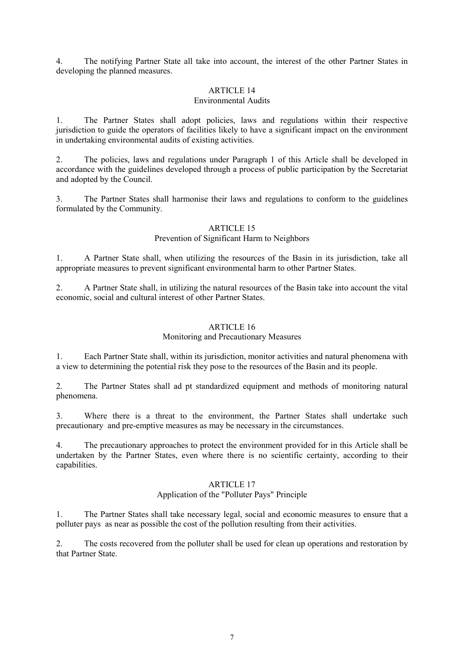4. The notifying Partner State all take into account, the interest of the other Partner States in developing the planned measures.

### ARTICLE 14

### Environmental Audits

1. The Partner States shall adopt policies, laws and regulations within their respective jurisdiction to guide the operators of facilities likely to have a significant impact on the environment in undertaking environmental audits of existing activities.

2. The policies, laws and regulations under Paragraph 1 of this Article shall be developed in accordance with the guidelines developed through a process of public participation by the Secretariat and adopted by the Council.

3. The Partner States shall harmonise their laws and regulations to conform to the guidelines formulated by the Community.

### ARTICLE 15

### Prevention of Significant Harm to Neighbors

1. A Partner State shall, when utilizing the resources of the Basin in its jurisdiction, take all appropriate measures to prevent significant environmental harm to other Partner States.

2. A Partner State shall, in utilizing the natural resources of the Basin take into account the vital economic, social and cultural interest of other Partner States.

### ARTICLE 16

### Monitoring and Precautionary Measures

1. Each Partner State shall, within its jurisdiction, monitor activities and natural phenomena with a view to determining the potential risk they pose to the resources of the Basin and its people.

2. The Partner States shall ad pt standardized equipment and methods of monitoring natural phenomena.

3. Where there is a threat to the environment, the Partner States shall undertake such precautionary and pre-emptive measures as may be necessary in the circumstances.

4. The precautionary approaches to protect the environment provided for in this Article shall be undertaken by the Partner States, even where there is no scientific certainty, according to their capabilities.

### ARTICLE 17

### Application of the "Polluter Pays" Principle

1. The Partner States shall take necessary legal, social and economic measures to ensure that a polluter pays as near as possible the cost of the pollution resulting from their activities.

2. The costs recovered from the polluter shall be used for clean up operations and restoration by that Partner State.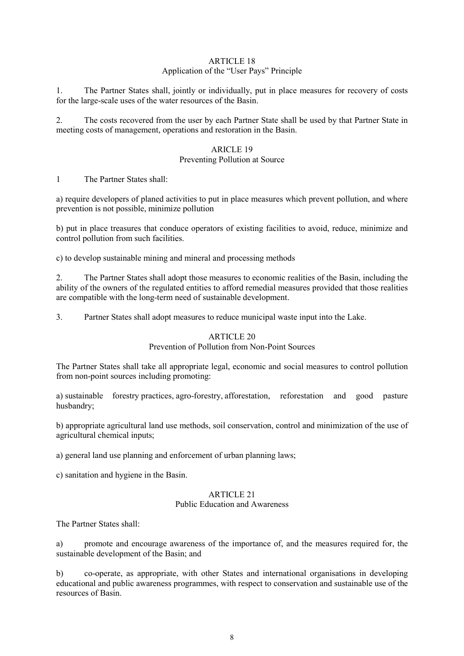### Application of the "User Pays" Principle

1. The Partner States shall, jointly or individually, put in place measures for recovery of costs for the large-scale uses of the water resources of the Basin.

2. The costs recovered from the user by each Partner State shall be used by that Partner State in meeting costs of management, operations and restoration in the Basin.

### ARICLE 19

### Preventing Pollution at Source

1 The Partner States shall:

a) require developers of planed activities to put in place measures which prevent pollution, and where prevention is not possible, minimize pollution

b) put in place treasures that conduce operators of existing facilities to avoid, reduce, minimize and control pollution from such facilities.

c) to develop sustainable mining and mineral and processing methods

2. The Partner States shall adopt those measures to economic realities of the Basin, including the ability of the owners of the regulated entities to afford remedial measures provided that those realities are compatible with the long-term need of sustainable development.

3. Partner States shall adopt measures to reduce municipal waste input into the Lake.

### ARTICLE 20

### Prevention of Pollution from Non-Point Sources

The Partner States shall take all appropriate legal, economic and social measures to control pollution from non-point sources including promoting:

a) sustainable forestry practices, agro-forestry, afforestation, reforestation and good pasture husbandry;

b) appropriate agricultural land use methods, soil conservation, control and minimization of the use of agricultural chemical inputs;

a) general land use planning and enforcement of urban planning laws;

c) sanitation and hygiene in the Basin.

### ARTICLE 21

### Public Education and Awareness

The Partner States shall:

a) promote and encourage awareness of the importance of, and the measures required for, the sustainable development of the Basin; and

b) co-operate, as appropriate, with other States and international organisations in developing educational and public awareness programmes, with respect to conservation and sustainable use of the resources of Basin.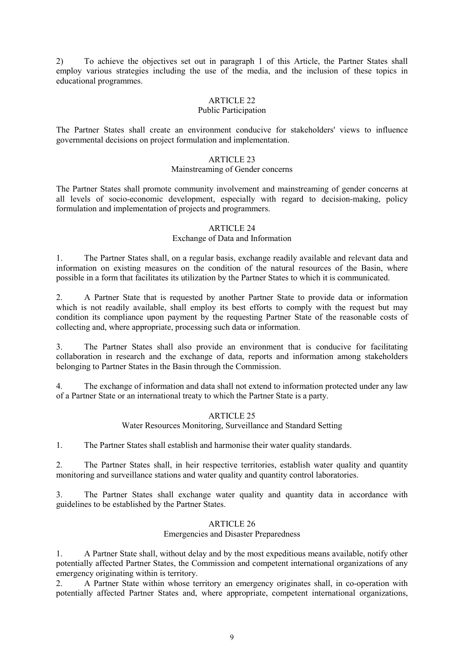2) To achieve the objectives set out in paragraph 1 of this Article, the Partner States shall employ various strategies including the use of the media, and the inclusion of these topics in educational programmes.

### ARTICLE 22

### Public Participation

The Partner States shall create an environment conducive for stakeholders' views to influence governmental decisions on project formulation and implementation.

#### ARTICLE 23

### Mainstreaming of Gender concerns

The Partner States shall promote community involvement and mainstreaming of gender concerns at all levels of socio-economic development, especially with regard to decision-making, policy formulation and implementation of projects and programmers.

### ARTICLE 24

#### Exchange of Data and Information

1. The Partner States shall, on a regular basis, exchange readily available and relevant data and information on existing measures on the condition of the natural resources of the Basin, where possible in a form that facilitates its utilization by the Partner States to which it is communicated.

2. A Partner State that is requested by another Partner State to provide data or information which is not readily available, shall employ its best efforts to comply with the request but may condition its compliance upon payment by the requesting Partner State of the reasonable costs of collecting and, where appropriate, processing such data or information.

3. The Partner States shall also provide an environment that is conducive for facilitating collaboration in research and the exchange of data, reports and information among stakeholders belonging to Partner States in the Basin through the Commission.

4. The exchange of information and data shall not extend to information protected under any law of a Partner State or an international treaty to which the Partner State is a party.

### ARTICLE 25

Water Resources Monitoring, Surveillance and Standard Setting

1. The Partner States shall establish and harmonise their water quality standards.

2. The Partner States shall, in heir respective territories, establish water quality and quantity monitoring and surveillance stations and water quality and quantity control laboratories.

3. The Partner States shall exchange water quality and quantity data in accordance with guidelines to be established by the Partner States.

### ARTICLE 26

### Emergencies and Disaster Preparedness

1. A Partner State shall, without delay and by the most expeditious means available, notify other potentially affected Partner States, the Commission and competent international organizations of any emergency originating within is territory.

2. A Partner State within whose territory an emergency originates shall, in co-operation with potentially affected Partner States and, where appropriate, competent international organizations,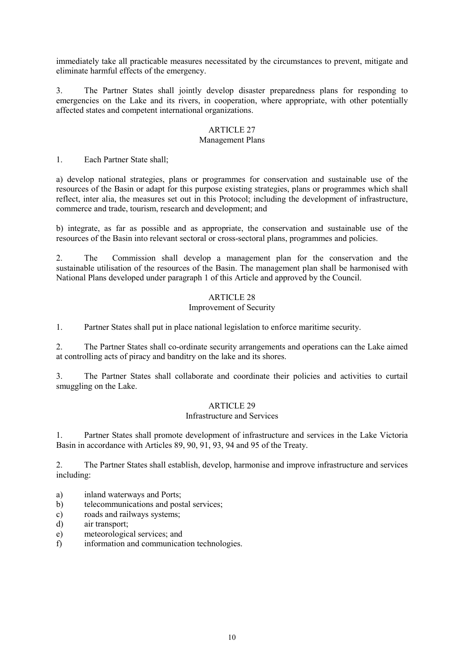immediately take all practicable measures necessitated by the circumstances to prevent, mitigate and eliminate harmful effects of the emergency.

3. The Partner States shall jointly develop disaster preparedness plans for responding to emergencies on the Lake and its rivers, in cooperation, where appropriate, with other potentially affected states and competent international organizations.

### ARTICLE 27

#### Management Plans

1. Each Partner State shall;

a) develop national strategies, plans or programmes for conservation and sustainable use of the resources of the Basin or adapt for this purpose existing strategies, plans or programmes which shall reflect, inter alia, the measures set out in this Protocol; including the development of infrastructure, commerce and trade, tourism, research and development; and

b) integrate, as far as possible and as appropriate, the conservation and sustainable use of the resources of the Basin into relevant sectoral or cross-sectoral plans, programmes and policies.

2. The Commission shall develop a management plan for the conservation and the sustainable utilisation of the resources of the Basin. The management plan shall be harmonised with National Plans developed under paragraph 1 of this Article and approved by the Council.

### ARTICLE 28

### Improvement of Security

1. Partner States shall put in place national legislation to enforce maritime security.

2. The Partner States shall co-ordinate security arrangements and operations can the Lake aimed at controlling acts of piracy and banditry on the lake and its shores.

3. The Partner States shall collaborate and coordinate their policies and activities to curtail smuggling on the Lake.

### ARTICLE 29

### Infrastructure and Services

1. Partner States shall promote development of infrastructure and services in the Lake Victoria Basin in accordance with Articles 89, 90, 91, 93, 94 and 95 of the Treaty.

2. The Partner States shall establish, develop, harmonise and improve infrastructure and services including:

- a) inland waterways and Ports;
- b) telecommunications and postal services;
- c) roads and railways systems;
- d) air transport;
- e) meteorological services; and
- f) information and communication technologies.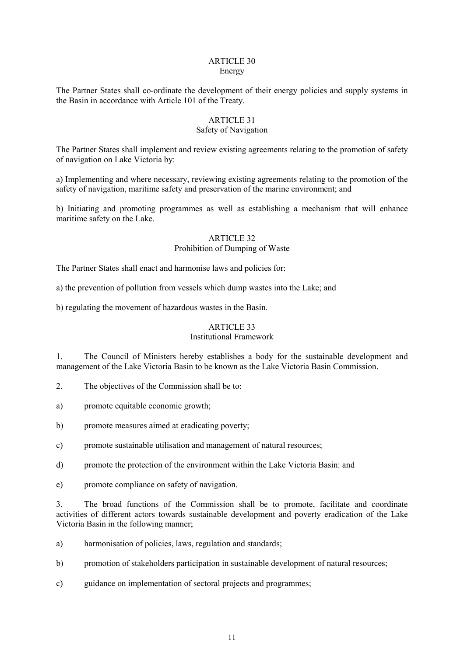#### ARTICLE 30 Energy

The Partner States shall co-ordinate the development of their energy policies and supply systems in the Basin in accordance with Article 101 of the Treaty.

### ARTICLE 31

#### Safety of Navigation

The Partner States shall implement and review existing agreements relating to the promotion of safety of navigation on Lake Victoria by:

a) Implementing and where necessary, reviewing existing agreements relating to the promotion of the safety of navigation, maritime safety and preservation of the marine environment; and

b) Initiating and promoting programmes as well as establishing a mechanism that will enhance maritime safety on the Lake.

#### ARTICLE 32 Prohibition of Dumping of Waste

The Partner States shall enact and harmonise laws and policies for:

a) the prevention of pollution from vessels which dump wastes into the Lake; and

b) regulating the movement of hazardous wastes in the Basin.

#### ARTICLE 33 Institutional Framework

1. The Council of Ministers hereby establishes a body for the sustainable development and management of the Lake Victoria Basin to be known as the Lake Victoria Basin Commission.

- 2. The objectives of the Commission shall be to:
- a) promote equitable economic growth;
- b) promote measures aimed at eradicating poverty;
- c) promote sustainable utilisation and management of natural resources;
- d) promote the protection of the environment within the Lake Victoria Basin: and
- e) promote compliance on safety of navigation.

3. The broad functions of the Commission shall be to promote, facilitate and coordinate activities of different actors towards sustainable development and poverty eradication of the Lake Victoria Basin in the following manner;

- a) harmonisation of policies, laws, regulation and standards;
- b) promotion of stakeholders participation in sustainable development of natural resources;
- c) guidance on implementation of sectoral projects and programmes;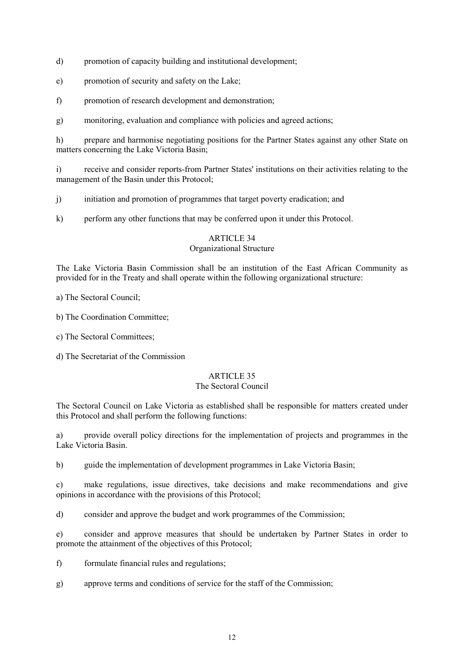- d) promotion of capacity building and institutional development;
- e) promotion of security and safety on the Lake;
- f) promotion of research development and demonstration;
- g) monitoring, evaluation and compliance with policies and agreed actions;

h) prepare and harmonise negotiating positions for the Partner States against any other State on matters concerning the Lake Victoria Basin;

i) receive and consider reports-from Partner States' institutions on their activities relating to the management of the Basin under this Protocol;

- j) initiation and promotion of programmes that target poverty eradication; and
- k) perform any other functions that may be conferred upon it under this Protocol.

## ARTICLE 34

### Organizational Structure

The Lake Victoria Basin Commission shall be an institution of the East African Community as provided for in the Treaty and shall operate within the following organizational structure:

a) The Sectoral Council;

b) The Coordination Committee;

c) The Sectoral Committees;

d) The Secretariat of the Commission

### ARTICLE 35

### The Sectoral Council

The Sectoral Council on Lake Victoria as established shall be responsible for matters created under this Protocol and shall perform the following functions:

a) provide overall policy directions for the implementation of projects and programmes in the Lake Victoria Basin.

b) guide the implementation of development programmes in Lake Victoria Basin;

c) make regulations, issue directives, take decisions and make recommendations and give opinions in accordance with the provisions of this Protocol;

d) consider and approve the budget and work programmes of the Commission;

e) consider and approve measures that should be undertaken by Partner States in order to promote the attainment of the objectives of this Protocol;

f) formulate financial rules and regulations;

g) approve terms and conditions of service for the staff of the Commission;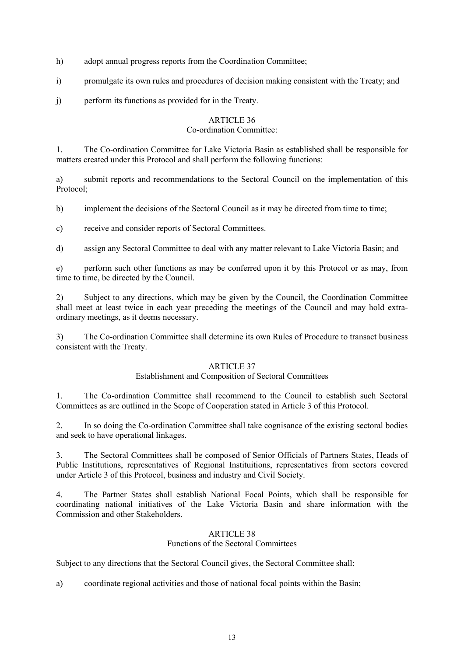- h) adopt annual progress reports from the Coordination Committee;
- i) promulgate its own rules and procedures of decision making consistent with the Treaty; and
- j) perform its functions as provided for in the Treaty.

### Co-ordination Committee:

1. The Co-ordination Committee for Lake Victoria Basin as established shall be responsible for matters created under this Protocol and shall perform the following functions:

a) submit reports and recommendations to the Sectoral Council on the implementation of this Protocol;

b) implement the decisions of the Sectoral Council as it may be directed from time to time;

c) receive and consider reports of Sectoral Committees.

d) assign any Sectoral Committee to deal with any matter relevant to Lake Victoria Basin; and

e) perform such other functions as may be conferred upon it by this Protocol or as may, from time to time, be directed by the Council.

2) Subject to any directions, which may be given by the Council, the Coordination Committee shall meet at least twice in each year preceding the meetings of the Council and may hold extraordinary meetings, as it deems necessary.

3) The Co-ordination Committee shall determine its own Rules of Procedure to transact business consistent with the Treaty.

### ARTICLE 37

### Establishment and Composition of Sectoral Committees

1. The Co-ordination Committee shall recommend to the Council to establish such Sectoral Committees as are outlined in the Scope of Cooperation stated in Article 3 of this Protocol.

2. In so doing the Co-ordination Committee shall take cognisance of the existing sectoral bodies and seek to have operational linkages.

3. The Sectoral Committees shall be composed of Senior Officials of Partners States, Heads of Public Institutions, representatives of Regional Instituitions, representatives from sectors covered under Article 3 of this Protocol, business and industry and Civil Society.

4. The Partner States shall establish National Focal Points, which shall be responsible for coordinating national initiatives of the Lake Victoria Basin and share information with the Commission and other Stakeholders.

### ARTICLE 38 Functions of the Sectoral Committees

Subject to any directions that the Sectoral Council gives, the Sectoral Committee shall:

a) coordinate regional activities and those of national focal points within the Basin;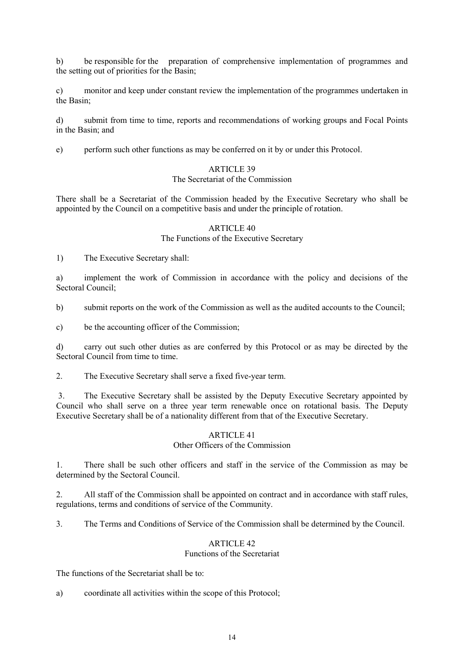b) be responsible for the preparation of comprehensive implementation of programmes and the setting out of priorities for the Basin;

c) monitor and keep under constant review the implementation of the programmes undertaken in the Basin;

d) submit from time to time, reports and recommendations of working groups and Focal Points in the Basin; and

e) perform such other functions as may be conferred on it by or under this Protocol.

### ARTICLE 39

#### The Secretariat of the Commission

There shall be a Secretariat of the Commission headed by the Executive Secretary who shall be appointed by the Council on a competitive basis and under the principle of rotation.

### ARTICLE 40

### The Functions of the Executive Secretary

1) The Executive Secretary shall:

a) implement the work of Commission in accordance with the policy and decisions of the Sectoral Council:

b) submit reports on the work of the Commission as well as the audited accounts to the Council;

c) be the accounting officer of the Commission;

d) carry out such other duties as are conferred by this Protocol or as may be directed by the Sectoral Council from time to time.

2. The Executive Secretary shall serve a fixed five-year term.

3. The Executive Secretary shall be assisted by the Deputy Executive Secretary appointed by Council who shall serve on a three year term renewable once on rotational basis. The Deputy Executive Secretary shall be of a nationality different from that of the Executive Secretary.

#### ARTICLE 41

### Other Officers of the Commission

1. There shall be such other officers and staff in the service of the Commission as may be determined by the Sectoral Council.

2. All staff of the Commission shall be appointed on contract and in accordance with staff rules, regulations, terms and conditions of service of the Community.

3. The Terms and Conditions of Service of the Commission shall be determined by the Council.

### ARTICLE 42

### Functions of the Secretariat

The functions of the Secretariat shall be to:

a) coordinate all activities within the scope of this Protocol;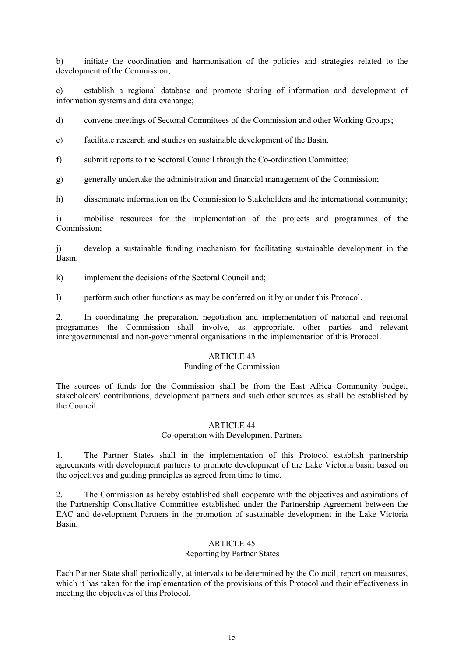b) initiate the coordination and harmonisation of the policies and strategies related to the development of the Commission;

c) establish a regional database and promote sharing of information and development of information systems and data exchange;

d) convene meetings of Sectoral Committees of the Commission and other Working Groups;

e) facilitate research and studies on sustainable development of the Basin.

f) submit reports to the Sectoral Council through the Co-ordination Committee;

g) generally undertake the administration and financial management of the Commission;

h) disseminate information on the Commission to Stakeholders and the international community;

i) mobilise resources for the implementation of the projects and programmes of the Commission;

j) develop a sustainable funding mechanism for facilitating sustainable development in the Basin.

k) implement the decisions of the Sectoral Council and;

l) perform such other functions as may be conferred on it by or under this Protocol.

2. In coordinating the preparation, negotiation and implementation of national and regional programmes the Commission shall involve, as appropriate, other parties and relevant intergovernmental and non-governmental organisations in the implementation of this Protocol.

### ARTICLE 43

### Funding of the Commission

The sources of funds for the Commission shall be from the East Africa Community budget, stakeholders' contributions, development partners and such other sources as shall be established by the Council.

### ARTICLE 44

### Co-operation with Development Partners

1. The Partner States shall in the implementation of this Protocol establish partnership agreements with development partners to promote development of the Lake Victoria basin based on the objectives and guiding principles as agreed from time to time.

2. The Commission as hereby established shall cooperate with the objectives and aspirations of the Partnership Consultative Committee established under the Partnership Agreement between the EAC and development Partners in the promotion of sustainable development in the Lake Victoria Basin.

### ARTICLE 45

### Reporting by Partner States

Each Partner State shall periodically, at intervals to be determined by the Council, report on measures, which it has taken for the implementation of the provisions of this Protocol and their effectiveness in meeting the objectives of this Protocol.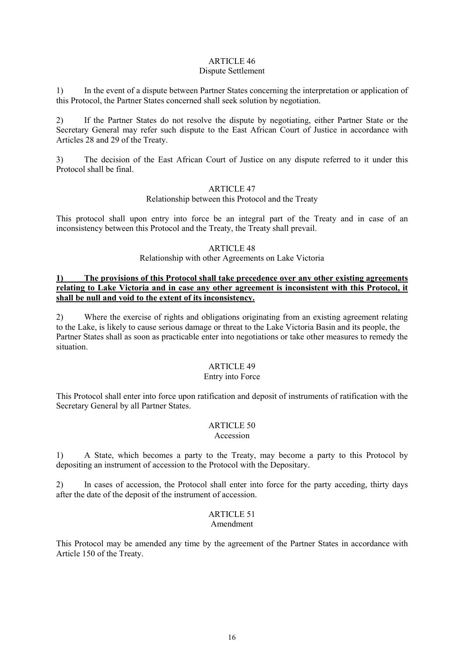#### Dispute Settlement

1) In the event of a dispute between Partner States concerning the interpretation or application of this Protocol, the Partner States concerned shall seek solution by negotiation.

2) If the Partner States do not resolve the dispute by negotiating, either Partner State or the Secretary General may refer such dispute to the East African Court of Justice in accordance with Articles 28 and 29 of the Treaty.

3) The decision of the East African Court of Justice on any dispute referred to it under this Protocol shall be final.

### ARTICLE 47

### Relationship between this Protocol and the Treaty

This protocol shall upon entry into force be an integral part of the Treaty and in case of an inconsistency between this Protocol and the Treaty, the Treaty shall prevail.

### ARTICLE 48

### Relationship with other Agreements on Lake Victoria

### **1) The provisions of this Protocol shall take precedence over any other existing agreements relating to Lake Victoria and in case any other agreement is inconsistent with this Protocol, it shall be null and void to the extent of its inconsistency.**

2) Where the exercise of rights and obligations originating from an existing agreement relating to the Lake, is likely to cause serious damage or threat to the Lake Victoria Basin and its people, the Partner States shall as soon as practicable enter into negotiations or take other measures to remedy the situation.

### ARTICLE 49

### Entry into Force

This Protocol shall enter into force upon ratification and deposit of instruments of ratification with the Secretary General by all Partner States.

# ARTICLE 50

#### Accession

1) A State, which becomes a party to the Treaty, may become a party to this Protocol by depositing an instrument of accession to the Protocol with the Depositary.

2) In cases of accession, the Protocol shall enter into force for the party acceding, thirty days after the date of the deposit of the instrument of accession.

# ARTICLE 51

## Amendment

This Protocol may be amended any time by the agreement of the Partner States in accordance with Article 150 of the Treaty.